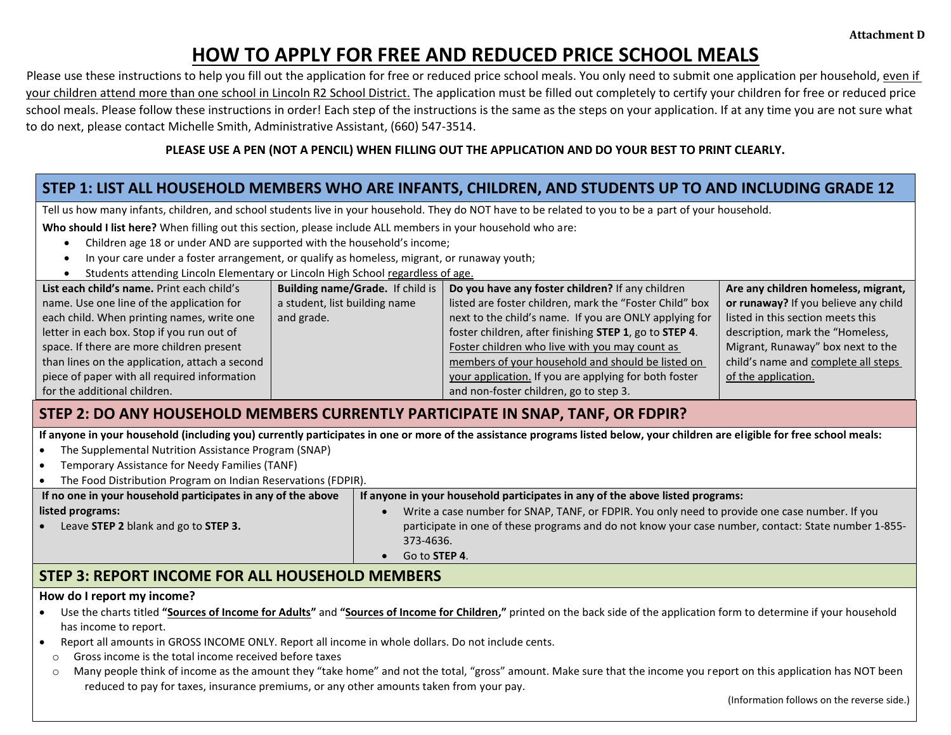# **HOW TO APPLY FOR FREE AND REDUCED PRICE SCHOOL MEALS**

Please use these instructions to help you fill out the application for free or reduced price school meals. You only need to submit one application per household, even if your children attend more than one school in Lincoln R2 School District. The application must be filled out completely to certify your children for free or reduced price school meals. Please follow these instructions in order! Each step of the instructions is the same as the steps on your application. If at any time you are not sure what to do next, please contact Michelle Smith, Administrative Assistant, (660) 547-3514.

### **PLEASE USE A PEN (NOT A PENCIL) WHEN FILLING OUT THE APPLICATION AND DO YOUR BEST TO PRINT CLEARLY.**

### **STEP 1: LIST ALL HOUSEHOLD MEMBERS WHO ARE INFANTS, CHILDREN, AND STUDENTS UP TO AND INCLUDING GRADE 12**

Tell us how many infants, children, and school students live in your household. They do NOT have to be related to you to be a part of your household.

**Who should I list here?** When filling out this section, please include ALL members in your household who are:

- Children age 18 or under AND are supported with the household's income;
- In your care under a foster arrangement, or qualify as homeless, migrant, or runaway youth;
- Students attending Lincoln Elementary or Lincoln High School regardless of age.

| List each child's name. Print each child's     | Building name/Grade. If child is | Do you have any foster children? If any children        | Are any children homeless, migrant,  |
|------------------------------------------------|----------------------------------|---------------------------------------------------------|--------------------------------------|
| name. Use one line of the application for      | a student, list building name    | listed are foster children, mark the "Foster Child" box | or runaway? If you believe any child |
| each child. When printing names, write one     | and grade.                       | next to the child's name. If you are ONLY applying for  | listed in this section meets this    |
| letter in each box. Stop if you run out of     |                                  | foster children, after finishing STEP 1, go to STEP 4.  | description, mark the "Homeless,     |
| space. If there are more children present      |                                  | Foster children who live with you may count as          | Migrant, Runaway" box next to the    |
| than lines on the application, attach a second |                                  | members of your household and should be listed on       | child's name and complete all steps  |
| piece of paper with all required information   |                                  | your application. If you are applying for both foster   | of the application.                  |
| for the additional children.                   |                                  | and non-foster children, go to step 3.                  |                                      |

## **STEP 2: DO ANY HOUSEHOLD MEMBERS CURRENTLY PARTICIPATE IN SNAP, TANF, OR FDPIR?**

**If anyone in your household (including you) currently participates in one or more of the assistance programs listed below, your children are eligible for free school meals:**

- The Supplemental Nutrition Assistance Program (SNAP)
- Temporary Assistance for Needy Families (TANF)
- The Food Distribution Program on Indian Reservations (FDPIR).

| If no one in your household participates in any of the above | If anyone in your household participates in any of the above listed programs:                       |  |  |
|--------------------------------------------------------------|-----------------------------------------------------------------------------------------------------|--|--|
| listed programs:                                             | Write a case number for SNAP, TANF, or FDPIR. You only need to provide one case number. If you      |  |  |
| Leave STEP 2 blank and go to STEP 3.                         | participate in one of these programs and do not know your case number, contact: State number 1-855- |  |  |
|                                                              | 373-4636.                                                                                           |  |  |
|                                                              | Go to STEP 4.                                                                                       |  |  |

### **STEP 3: REPORT INCOME FOR ALL HOUSEHOLD MEMBERS**

#### **How do I report my income?**

- Use the charts titled **"Sources of Income for Adults"** and **"Sources of Income for Children,"** printed on the back side of the application form to determine if your household has income to report.
- Report all amounts in GROSS INCOME ONLY. Report all income in whole dollars. Do not include cents.
- o Gross income is the total income received before taxes
- o Many people think of income as the amount they "take home" and not the total, "gross" amount. Make sure that the income you report on this application has NOT been reduced to pay for taxes, insurance premiums, or any other amounts taken from your pay.

(Information follows on the reverse side.)